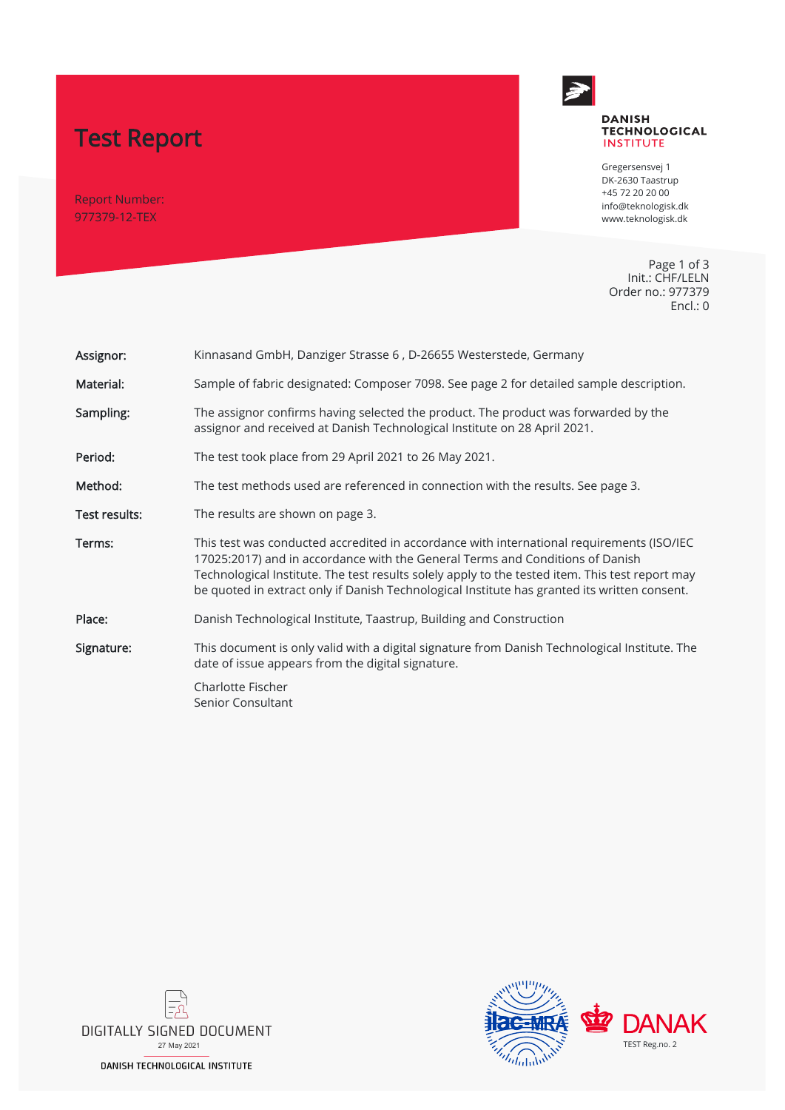# Test Report

Report Number: 977379-12-TEX



#### **DANISH TECHNOLOGICAL INSTITUTE**

Gregersensvej 1 DK-2630 Taastrup +45 72 20 20 00 info@teknologisk.dk www.teknologisk.dk

Page 1 of 3 Init.: CHF/LELN Order no.: 977379 Encl.: 0

| Assignor:     | Kinnasand GmbH, Danziger Strasse 6, D-26655 Westerstede, Germany                                                                                                                                                                                                                                                                                                              |  |
|---------------|-------------------------------------------------------------------------------------------------------------------------------------------------------------------------------------------------------------------------------------------------------------------------------------------------------------------------------------------------------------------------------|--|
| Material:     | Sample of fabric designated: Composer 7098. See page 2 for detailed sample description.                                                                                                                                                                                                                                                                                       |  |
| Sampling:     | The assignor confirms having selected the product. The product was forwarded by the<br>assignor and received at Danish Technological Institute on 28 April 2021.                                                                                                                                                                                                              |  |
| Period:       | The test took place from 29 April 2021 to 26 May 2021.                                                                                                                                                                                                                                                                                                                        |  |
| Method:       | The test methods used are referenced in connection with the results. See page 3.                                                                                                                                                                                                                                                                                              |  |
| Test results: | The results are shown on page 3.                                                                                                                                                                                                                                                                                                                                              |  |
| Terms:        | This test was conducted accredited in accordance with international requirements (ISO/IEC<br>17025:2017) and in accordance with the General Terms and Conditions of Danish<br>Technological Institute. The test results solely apply to the tested item. This test report may<br>be quoted in extract only if Danish Technological Institute has granted its written consent. |  |
| Place:        | Danish Technological Institute, Taastrup, Building and Construction                                                                                                                                                                                                                                                                                                           |  |
| Signature:    | This document is only valid with a digital signature from Danish Technological Institute. The<br>date of issue appears from the digital signature.                                                                                                                                                                                                                            |  |
|               | Charlotte Fischer<br>Senior Consultant                                                                                                                                                                                                                                                                                                                                        |  |



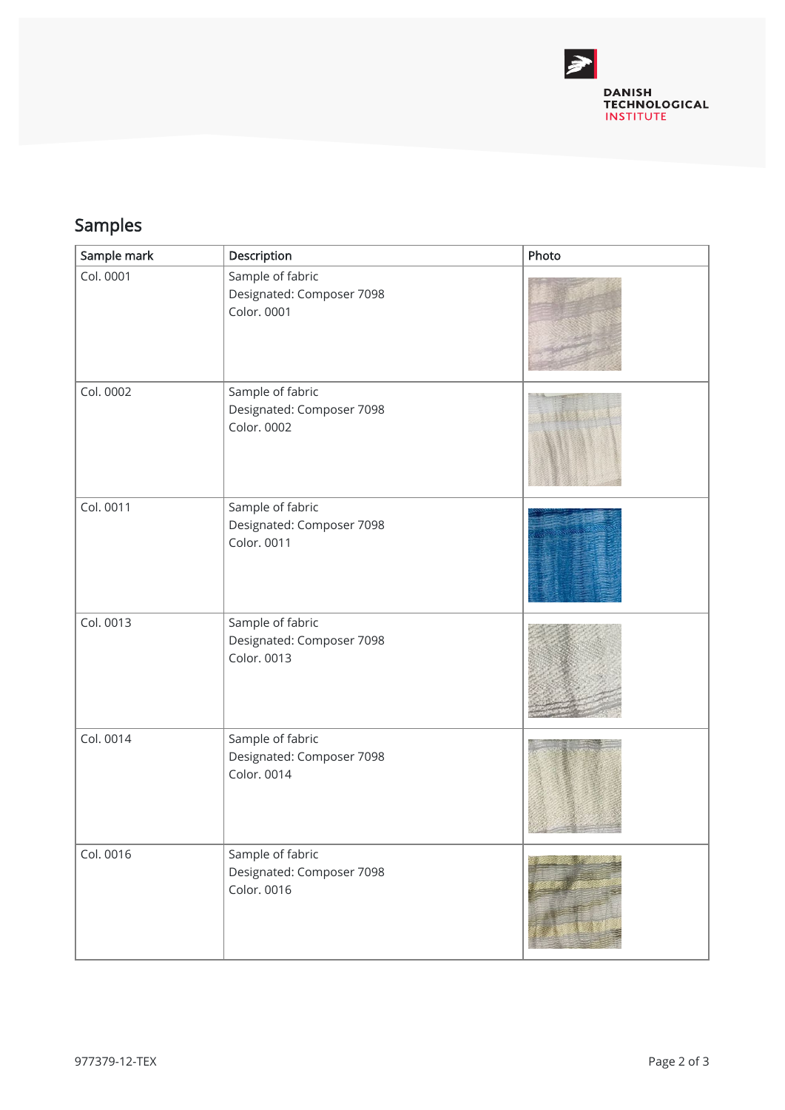

## Samples

| Sample mark | Description                                                  | Photo |
|-------------|--------------------------------------------------------------|-------|
| Col. 0001   | Sample of fabric<br>Designated: Composer 7098<br>Color. 0001 |       |
| Col. 0002   | Sample of fabric<br>Designated: Composer 7098<br>Color. 0002 |       |
| Col. 0011   | Sample of fabric<br>Designated: Composer 7098<br>Color. 0011 |       |
| Col. 0013   | Sample of fabric<br>Designated: Composer 7098<br>Color. 0013 |       |
| Col. 0014   | Sample of fabric<br>Designated: Composer 7098<br>Color. 0014 |       |
| Col. 0016   | Sample of fabric<br>Designated: Composer 7098<br>Color. 0016 |       |